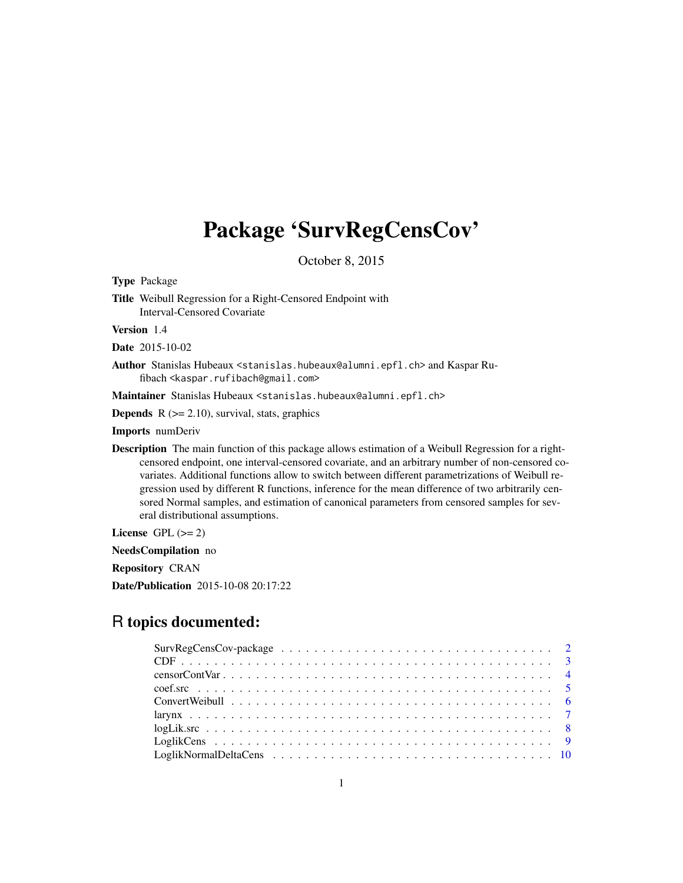# Package 'SurvRegCensCov'

October 8, 2015

<span id="page-0-0"></span>Type Package Title Weibull Regression for a Right-Censored Endpoint with Interval-Censored Covariate Version 1.4

Date 2015-10-02

Author Stanislas Hubeaux <stanislas.hubeaux@alumni.epfl.ch> and Kaspar Rufibach <kaspar.rufibach@gmail.com>

Maintainer Stanislas Hubeaux <stanislas.hubeaux@alumni.epfl.ch>

**Depends**  $R$  ( $>= 2.10$ ), survival, stats, graphics

Imports numDeriv

Description The main function of this package allows estimation of a Weibull Regression for a rightcensored endpoint, one interval-censored covariate, and an arbitrary number of non-censored covariates. Additional functions allow to switch between different parametrizations of Weibull regression used by different R functions, inference for the mean difference of two arbitrarily censored Normal samples, and estimation of canonical parameters from censored samples for several distributional assumptions.

License GPL  $(>= 2)$ 

NeedsCompilation no

Repository CRAN

Date/Publication 2015-10-08 20:17:22

# R topics documented: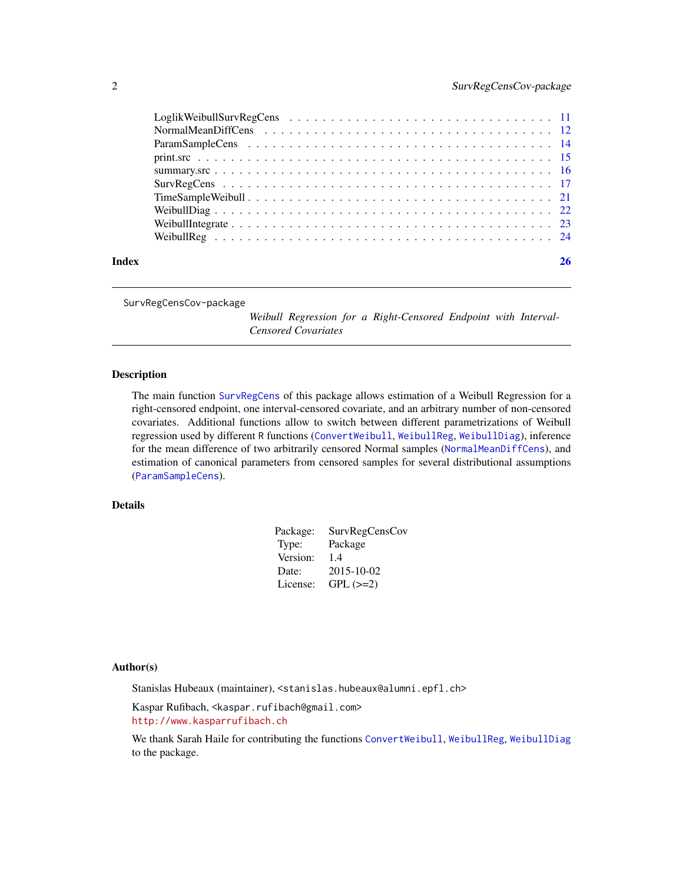<span id="page-1-0"></span>

| Index |  |
|-------|--|

SurvRegCensCov-package

*Weibull Regression for a Right-Censored Endpoint with Interval-Censored Covariates*

# Description

The main function [SurvRegCens](#page-16-1) of this package allows estimation of a Weibull Regression for a right-censored endpoint, one interval-censored covariate, and an arbitrary number of non-censored covariates. Additional functions allow to switch between different parametrizations of Weibull regression used by different R functions ([ConvertWeibull](#page-5-1), [WeibullReg](#page-23-1), [WeibullDiag](#page-21-1)), inference for the mean difference of two arbitrarily censored Normal samples ([NormalMeanDiffCens](#page-11-1)), and estimation of canonical parameters from censored samples for several distributional assumptions ([ParamSampleCens](#page-13-1)).

#### Details

| SurvRegCensCov |
|----------------|
| Package        |
| 1.4            |
| 2015-10-02     |
| $GPL (=2)$     |
|                |

#### Author(s)

Stanislas Hubeaux (maintainer), <stanislas.hubeaux@alumni.epfl.ch>

Kaspar Rufibach, <kaspar.rufibach@gmail.com> <http://www.kasparrufibach.ch>

We thank Sarah Haile for contributing the functions [ConvertWeibull](#page-5-1), [WeibullReg](#page-23-1), [WeibullDiag](#page-21-1) to the package.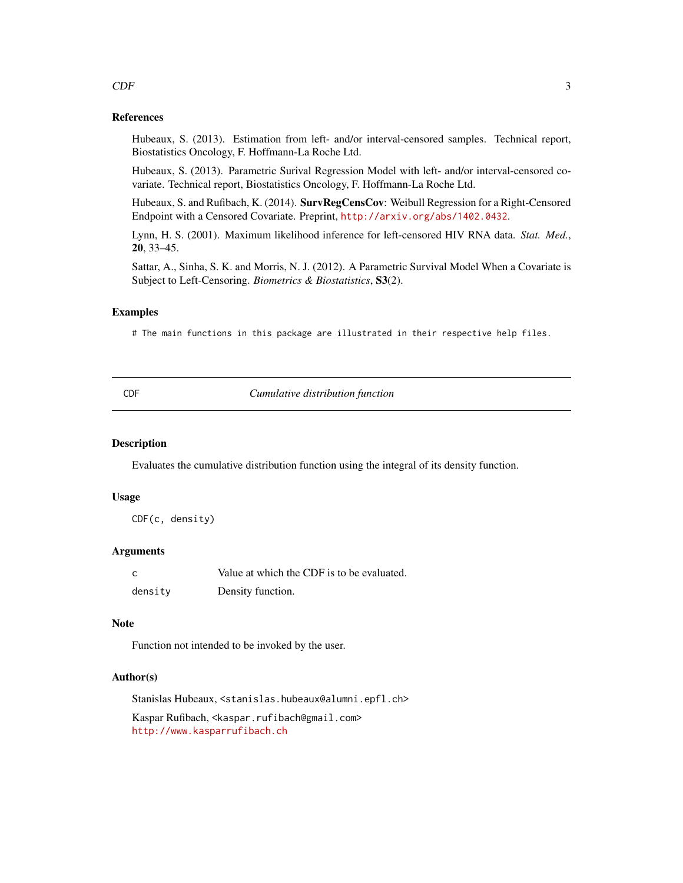#### References

Hubeaux, S. (2013). Estimation from left- and/or interval-censored samples. Technical report, Biostatistics Oncology, F. Hoffmann-La Roche Ltd.

Hubeaux, S. (2013). Parametric Surival Regression Model with left- and/or interval-censored covariate. Technical report, Biostatistics Oncology, F. Hoffmann-La Roche Ltd.

Hubeaux, S. and Rufibach, K. (2014). SurvRegCensCov: Weibull Regression for a Right-Censored Endpoint with a Censored Covariate. Preprint, <http://arxiv.org/abs/1402.0432>.

Lynn, H. S. (2001). Maximum likelihood inference for left-censored HIV RNA data. *Stat. Med.*, 20, 33–45.

Sattar, A., Sinha, S. K. and Morris, N. J. (2012). A Parametric Survival Model When a Covariate is Subject to Left-Censoring. *Biometrics & Biostatistics*, S3(2).

# Examples

# The main functions in this package are illustrated in their respective help files.

CDF *Cumulative distribution function*

#### Description

Evaluates the cumulative distribution function using the integral of its density function.

#### Usage

CDF(c, density)

# Arguments

| C       | Value at which the CDF is to be evaluated. |
|---------|--------------------------------------------|
| density | Density function.                          |

#### Note

Function not intended to be invoked by the user.

## Author(s)

Stanislas Hubeaux, <stanislas.hubeaux@alumni.epfl.ch>

Kaspar Rufibach, <kaspar.rufibach@gmail.com> <http://www.kasparrufibach.ch>

#### <span id="page-2-0"></span> $CDF$  3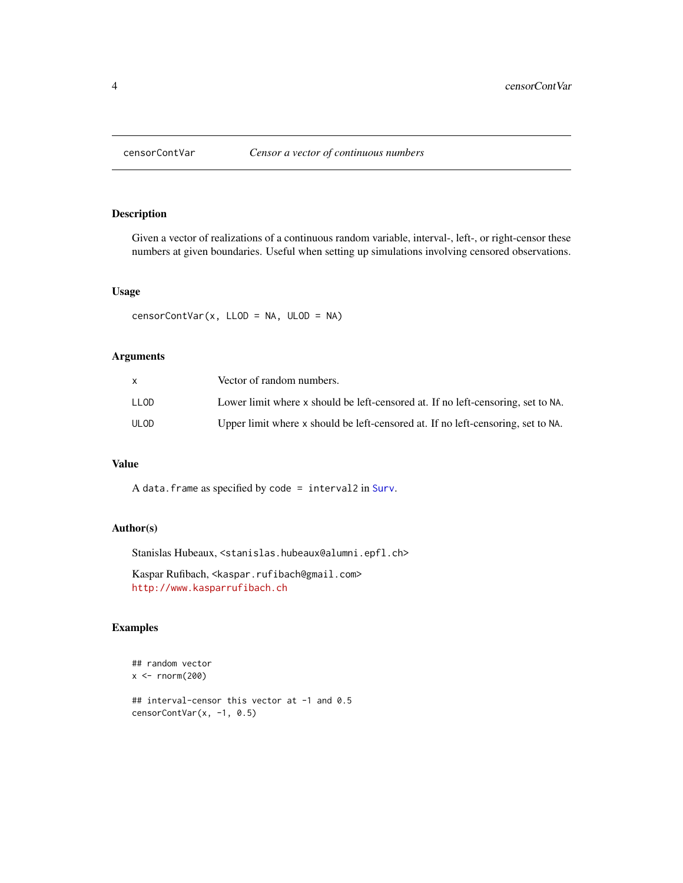<span id="page-3-0"></span>

Given a vector of realizations of a continuous random variable, interval-, left-, or right-censor these numbers at given boundaries. Useful when setting up simulations involving censored observations.

## Usage

censorContVar(x, LLOD = NA, ULOD = NA)

# Arguments

|      | Vector of random numbers.                                                        |
|------|----------------------------------------------------------------------------------|
| LLOD | Lower limit where x should be left-censored at. If no left-censoring, set to NA. |
| ULOD | Upper limit where x should be left-censored at. If no left-censoring, set to NA. |

# Value

A data.frame as specified by code = interval2 in [Surv](#page-0-0).

# Author(s)

Stanislas Hubeaux, <stanislas.hubeaux@alumni.epfl.ch>

Kaspar Rufibach, <kaspar.rufibach@gmail.com> <http://www.kasparrufibach.ch>

# Examples

```
## random vector
x < - rnorm(200)
## interval-censor this vector at -1 and 0.5
censorContVar(x, -1, 0.5)
```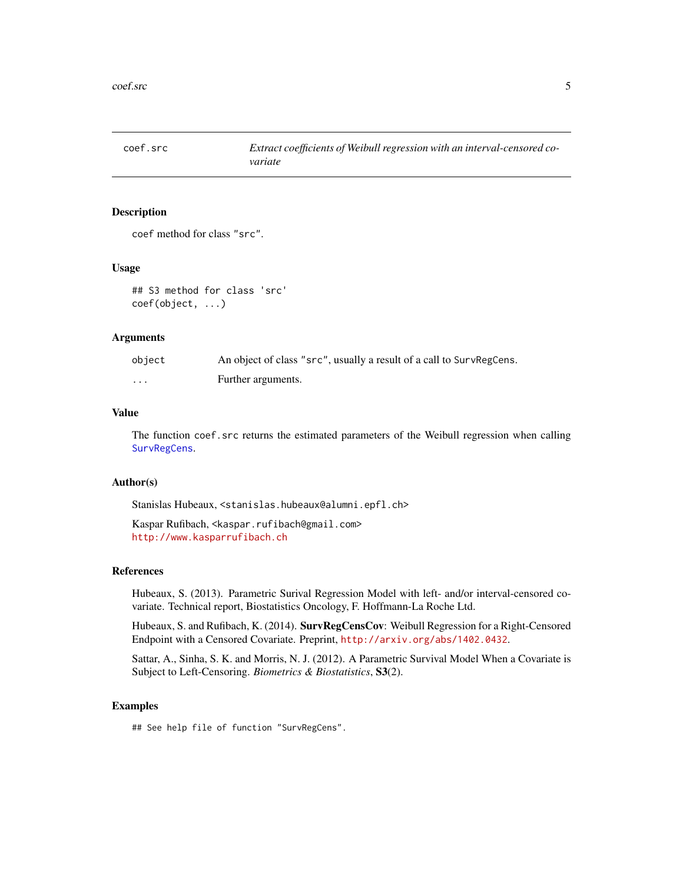<span id="page-4-1"></span><span id="page-4-0"></span>

coef method for class "src".

#### Usage

## S3 method for class 'src' coef(object, ...)

# Arguments

| object | An object of class "src", usually a result of a call to SurvRegCens. |
|--------|----------------------------------------------------------------------|
| .      | Further arguments.                                                   |

# Value

The function coef.src returns the estimated parameters of the Weibull regression when calling [SurvRegCens](#page-16-1).

#### Author(s)

Stanislas Hubeaux, <stanislas.hubeaux@alumni.epfl.ch>

Kaspar Rufibach, <kaspar.rufibach@gmail.com> <http://www.kasparrufibach.ch>

# References

Hubeaux, S. (2013). Parametric Surival Regression Model with left- and/or interval-censored covariate. Technical report, Biostatistics Oncology, F. Hoffmann-La Roche Ltd.

Hubeaux, S. and Rufibach, K. (2014). SurvRegCensCov: Weibull Regression for a Right-Censored Endpoint with a Censored Covariate. Preprint, <http://arxiv.org/abs/1402.0432>.

Sattar, A., Sinha, S. K. and Morris, N. J. (2012). A Parametric Survival Model When a Covariate is Subject to Left-Censoring. *Biometrics & Biostatistics*, S3(2).

# Examples

## See help file of function "SurvRegCens".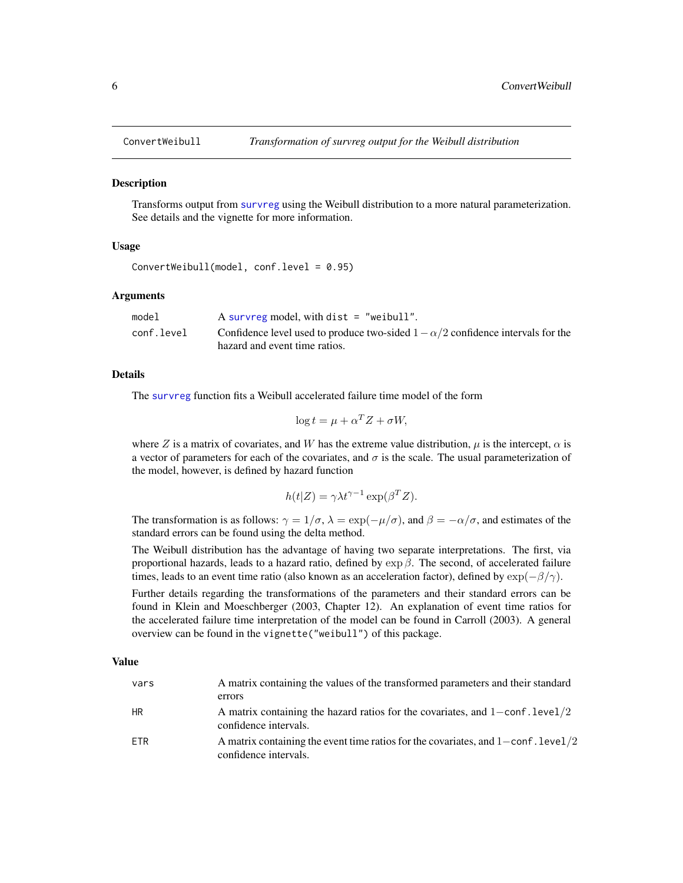<span id="page-5-1"></span><span id="page-5-0"></span>

Transforms output from [survreg](#page-0-0) using the Weibull distribution to a more natural parameterization. See details and the vignette for more information.

### Usage

```
ConvertWeibull(model, conf.level = 0.95)
```
#### Arguments

| model      | A survreg model, with dist $=$ "weibull".                                              |
|------------|----------------------------------------------------------------------------------------|
| conf.level | Confidence level used to produce two-sided $1 - \alpha/2$ confidence intervals for the |
|            | hazard and event time ratios.                                                          |

# Details

The [survreg](#page-0-0) function fits a Weibull accelerated failure time model of the form

$$
\log t = \mu + \alpha^T Z + \sigma W,
$$

where Z is a matrix of covariates, and W has the extreme value distribution,  $\mu$  is the intercept,  $\alpha$  is a vector of parameters for each of the covariates, and  $\sigma$  is the scale. The usual parameterization of the model, however, is defined by hazard function

$$
h(t|Z) = \gamma \lambda t^{\gamma - 1} \exp(\beta^T Z).
$$

The transformation is as follows:  $\gamma = 1/\sigma$ ,  $\lambda = \exp(-\mu/\sigma)$ , and  $\beta = -\alpha/\sigma$ , and estimates of the standard errors can be found using the delta method.

The Weibull distribution has the advantage of having two separate interpretations. The first, via proportional hazards, leads to a hazard ratio, defined by  $\exp \beta$ . The second, of accelerated failure times, leads to an event time ratio (also known as an acceleration factor), defined by  $\exp(-\beta/\gamma)$ .

Further details regarding the transformations of the parameters and their standard errors can be found in Klein and Moeschberger (2003, Chapter 12). An explanation of event time ratios for the accelerated failure time interpretation of the model can be found in Carroll (2003). A general overview can be found in the vignette("weibull") of this package.

### Value

| vars      | A matrix containing the values of the transformed parameters and their standard                                   |
|-----------|-------------------------------------------------------------------------------------------------------------------|
|           | errors                                                                                                            |
| <b>HR</b> | A matrix containing the hazard ratios for the covariates, and $1$ -conf. level/2<br>confidence intervals.         |
| ETR       | A matrix containing the event time ratios for the covariates, and $1$ – conf. level $/2$<br>confidence intervals. |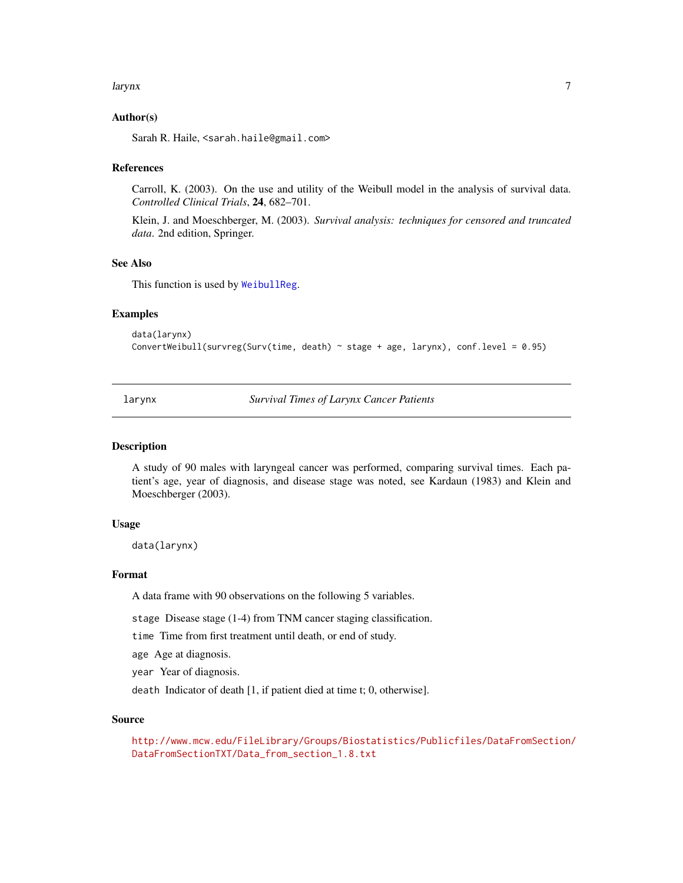#### <span id="page-6-0"></span>larynx 7

# Author(s)

Sarah R. Haile, <sarah.haile@gmail.com>

#### References

Carroll, K. (2003). On the use and utility of the Weibull model in the analysis of survival data. *Controlled Clinical Trials*, 24, 682–701.

Klein, J. and Moeschberger, M. (2003). *Survival analysis: techniques for censored and truncated data*. 2nd edition, Springer.

# See Also

This function is used by [WeibullReg](#page-23-1).

#### Examples

```
data(larynx)
ConvertWeibull(survreg(Surv(time, death) ~ stage + age, larynx), conf.level = 0.95)
```
larynx *Survival Times of Larynx Cancer Patients*

#### Description

A study of 90 males with laryngeal cancer was performed, comparing survival times. Each patient's age, year of diagnosis, and disease stage was noted, see Kardaun (1983) and Klein and Moeschberger (2003).

#### Usage

data(larynx)

#### Format

A data frame with 90 observations on the following 5 variables.

stage Disease stage (1-4) from TNM cancer staging classification.

time Time from first treatment until death, or end of study.

age Age at diagnosis.

year Year of diagnosis.

death Indicator of death [1, if patient died at time t; 0, otherwise].

#### Source

[http://www.mcw.edu/FileLibrary/Groups/Biostatistics/Publicfiles/DataFromSection/](http://www.mcw.edu/FileLibrary/Groups/Biostatistics/Publicfiles/DataFromSection/DataFromSectionTXT/Data_from_section_1.8.txt) [DataFromSectionTXT/Data\\_from\\_section\\_1.8.txt](http://www.mcw.edu/FileLibrary/Groups/Biostatistics/Publicfiles/DataFromSection/DataFromSectionTXT/Data_from_section_1.8.txt)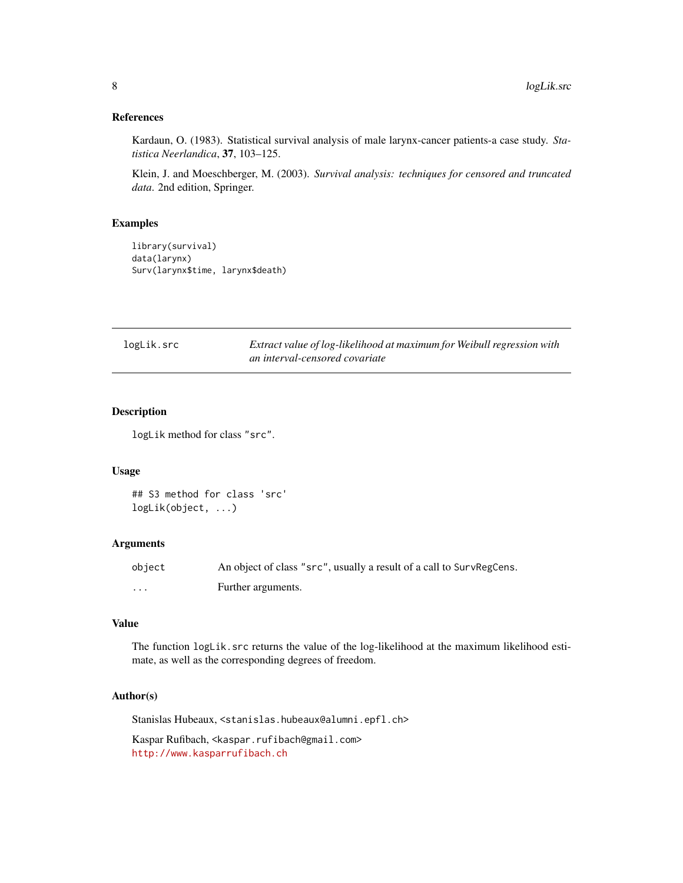# <span id="page-7-0"></span>References

Kardaun, O. (1983). Statistical survival analysis of male larynx-cancer patients-a case study. *Statistica Neerlandica*, 37, 103–125.

Klein, J. and Moeschberger, M. (2003). *Survival analysis: techniques for censored and truncated data*. 2nd edition, Springer.

#### Examples

```
library(survival)
data(larynx)
Surv(larynx$time, larynx$death)
```
<span id="page-7-1"></span>

| logLik.src | Extract value of log-likelihood at maximum for Weibull regression with |
|------------|------------------------------------------------------------------------|
|            | an interval-censored covariate                                         |

# Description

logLik method for class "src".

## Usage

```
## S3 method for class 'src'
logLik(object, ...)
```
# Arguments

| object | An object of class "src", usually a result of a call to SurvRegCens. |
|--------|----------------------------------------------------------------------|
| .      | Further arguments.                                                   |

#### Value

The function logLik.src returns the value of the log-likelihood at the maximum likelihood estimate, as well as the corresponding degrees of freedom.

# Author(s)

Stanislas Hubeaux, <stanislas.hubeaux@alumni.epfl.ch>

Kaspar Rufibach, <kaspar.rufibach@gmail.com> <http://www.kasparrufibach.ch>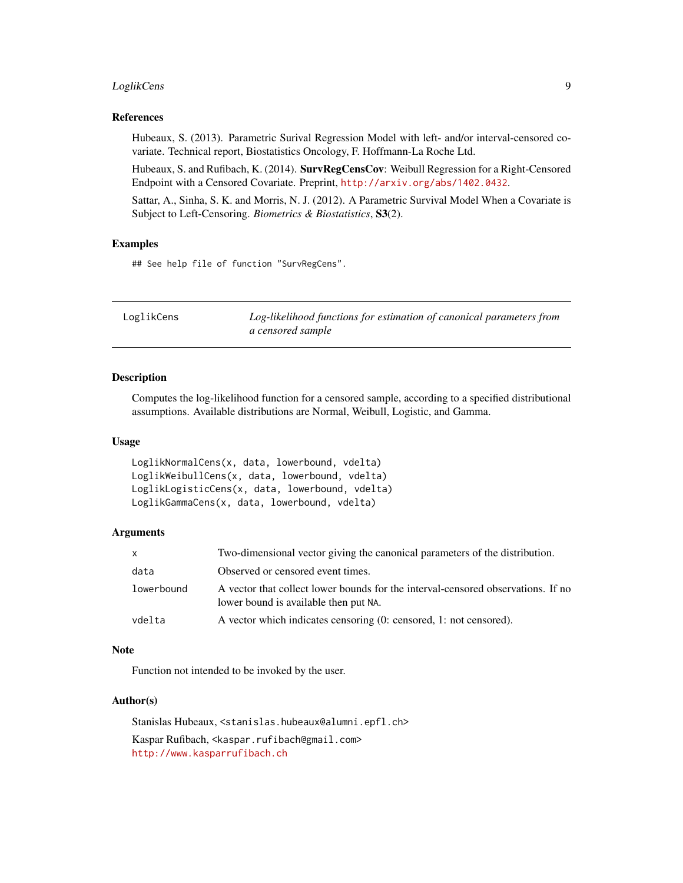# <span id="page-8-0"></span>LoglikCens 9

# References

Hubeaux, S. (2013). Parametric Surival Regression Model with left- and/or interval-censored covariate. Technical report, Biostatistics Oncology, F. Hoffmann-La Roche Ltd.

Hubeaux, S. and Rufibach, K. (2014). SurvRegCensCov: Weibull Regression for a Right-Censored Endpoint with a Censored Covariate. Preprint, <http://arxiv.org/abs/1402.0432>.

Sattar, A., Sinha, S. K. and Morris, N. J. (2012). A Parametric Survival Model When a Covariate is Subject to Left-Censoring. *Biometrics & Biostatistics*, S3(2).

#### Examples

## See help file of function "SurvRegCens".

| LoglikCens | Log-likelihood functions for estimation of canonical parameters from |
|------------|----------------------------------------------------------------------|
|            | a censored sample                                                    |

### Description

Computes the log-likelihood function for a censored sample, according to a specified distributional assumptions. Available distributions are Normal, Weibull, Logistic, and Gamma.

#### Usage

```
LoglikNormalCens(x, data, lowerbound, vdelta)
LoglikWeibullCens(x, data, lowerbound, vdelta)
LoglikLogisticCens(x, data, lowerbound, vdelta)
LoglikGammaCens(x, data, lowerbound, vdelta)
```
#### Arguments

| X          | Two-dimensional vector giving the canonical parameters of the distribution.                                               |
|------------|---------------------------------------------------------------------------------------------------------------------------|
| data       | Observed or censored event times.                                                                                         |
| lowerbound | A vector that collect lower bounds for the interval-censored observations. If no<br>lower bound is available then put NA. |
| vdelta     | A vector which indicates censoring (0: censored, 1: not censored).                                                        |

#### Note

Function not intended to be invoked by the user.

### Author(s)

Stanislas Hubeaux, <stanislas.hubeaux@alumni.epfl.ch> Kaspar Rufibach, <kaspar.rufibach@gmail.com>

<http://www.kasparrufibach.ch>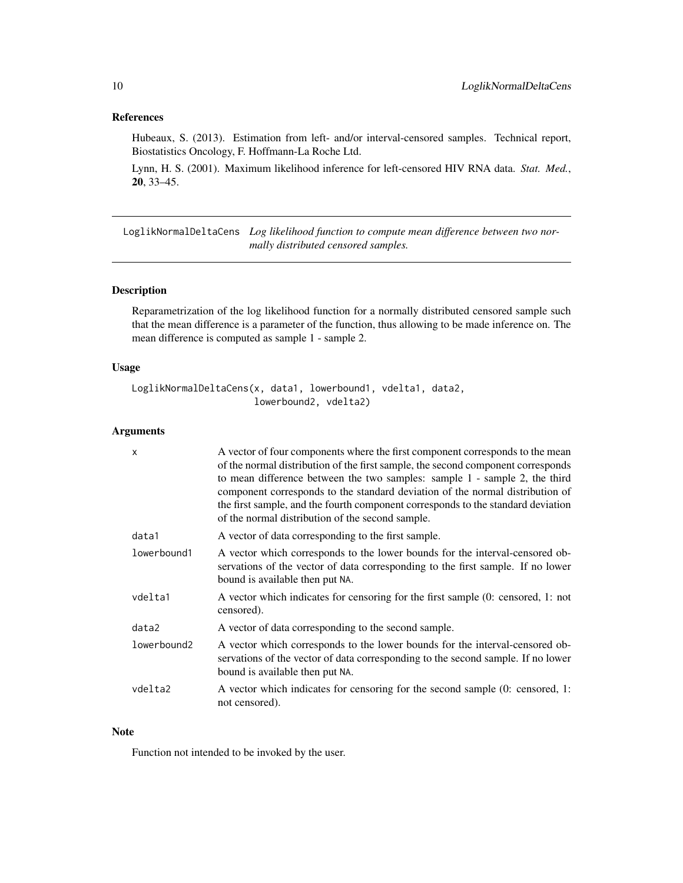# <span id="page-9-0"></span>References

Hubeaux, S. (2013). Estimation from left- and/or interval-censored samples. Technical report, Biostatistics Oncology, F. Hoffmann-La Roche Ltd.

Lynn, H. S. (2001). Maximum likelihood inference for left-censored HIV RNA data. *Stat. Med.*, 20, 33–45.

LoglikNormalDeltaCens *Log likelihood function to compute mean difference between two normally distributed censored samples.*

### Description

Reparametrization of the log likelihood function for a normally distributed censored sample such that the mean difference is a parameter of the function, thus allowing to be made inference on. The mean difference is computed as sample 1 - sample 2.

# Usage

```
LoglikNormalDeltaCens(x, data1, lowerbound1, vdelta1, data2,
                      lowerbound2, vdelta2)
```
# Arguments

| $\mathsf{x}$ | A vector of four components where the first component corresponds to the mean<br>of the normal distribution of the first sample, the second component corresponds<br>to mean difference between the two samples: sample 1 - sample 2, the third<br>component corresponds to the standard deviation of the normal distribution of<br>the first sample, and the fourth component corresponds to the standard deviation<br>of the normal distribution of the second sample. |
|--------------|--------------------------------------------------------------------------------------------------------------------------------------------------------------------------------------------------------------------------------------------------------------------------------------------------------------------------------------------------------------------------------------------------------------------------------------------------------------------------|
| data1        | A vector of data corresponding to the first sample.                                                                                                                                                                                                                                                                                                                                                                                                                      |
| lowerbound1  | A vector which corresponds to the lower bounds for the interval-censored ob-<br>servations of the vector of data corresponding to the first sample. If no lower<br>bound is available then put NA.                                                                                                                                                                                                                                                                       |
| vdelta1      | A vector which indicates for censoring for the first sample (0: censored, 1: not<br>censored).                                                                                                                                                                                                                                                                                                                                                                           |
| data2        | A vector of data corresponding to the second sample.                                                                                                                                                                                                                                                                                                                                                                                                                     |
| lowerbound2  | A vector which corresponds to the lower bounds for the interval-censored ob-<br>servations of the vector of data corresponding to the second sample. If no lower<br>bound is available then put NA.                                                                                                                                                                                                                                                                      |
| vdelta2      | A vector which indicates for censoring for the second sample (0: censored, 1:<br>not censored).                                                                                                                                                                                                                                                                                                                                                                          |

### Note

Function not intended to be invoked by the user.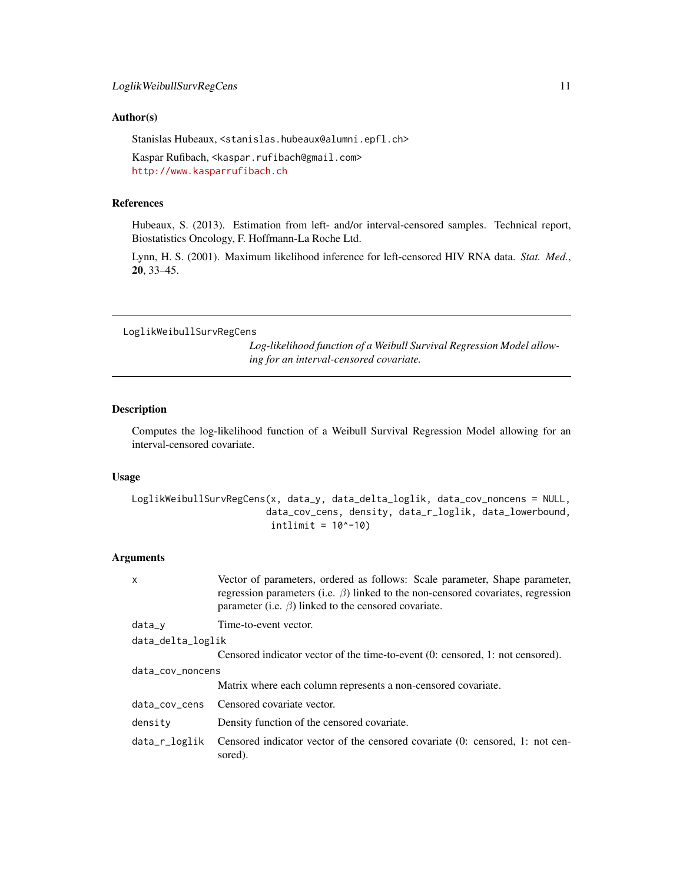#### <span id="page-10-0"></span>Author(s)

Stanislas Hubeaux, <stanislas.hubeaux@alumni.epfl.ch>

Kaspar Rufibach, <kaspar.rufibach@gmail.com> <http://www.kasparrufibach.ch>

#### References

Hubeaux, S. (2013). Estimation from left- and/or interval-censored samples. Technical report, Biostatistics Oncology, F. Hoffmann-La Roche Ltd.

Lynn, H. S. (2001). Maximum likelihood inference for left-censored HIV RNA data. *Stat. Med.*, 20, 33–45.

LoglikWeibullSurvRegCens

*Log-likelihood function of a Weibull Survival Regression Model allowing for an interval-censored covariate.*

#### Description

Computes the log-likelihood function of a Weibull Survival Regression Model allowing for an interval-censored covariate.

# Usage

```
LoglikWeibullSurvRegCens(x, data_y, data_delta_loglik, data_cov_noncens = NULL,
                         data_cov_cens, density, data_r_loglik, data_lowerbound,
                          intlimit = 10^{\wedge} -10)
```
# Arguments

| x                 | Vector of parameters, ordered as follows: Scale parameter, Shape parameter,<br>regression parameters (i.e. $\beta$ ) linked to the non-censored covariates, regression<br>parameter (i.e. $\beta$ ) linked to the censored covariate. |  |
|-------------------|---------------------------------------------------------------------------------------------------------------------------------------------------------------------------------------------------------------------------------------|--|
| $data_v$          | Time-to-event vector.                                                                                                                                                                                                                 |  |
| data_delta_loglik |                                                                                                                                                                                                                                       |  |
|                   | Censored indicator vector of the time-to-event (0: censored, 1: not censored).                                                                                                                                                        |  |
| data_cov_noncens  |                                                                                                                                                                                                                                       |  |
|                   | Matrix where each column represents a non-censored covariate.                                                                                                                                                                         |  |
| data_cov_cens     | Censored covariate vector.                                                                                                                                                                                                            |  |
| density           | Density function of the censored covariate.                                                                                                                                                                                           |  |
| data_r_loglik     | Censored indicator vector of the censored covariate (0: censored, 1: not cen-<br>sored).                                                                                                                                              |  |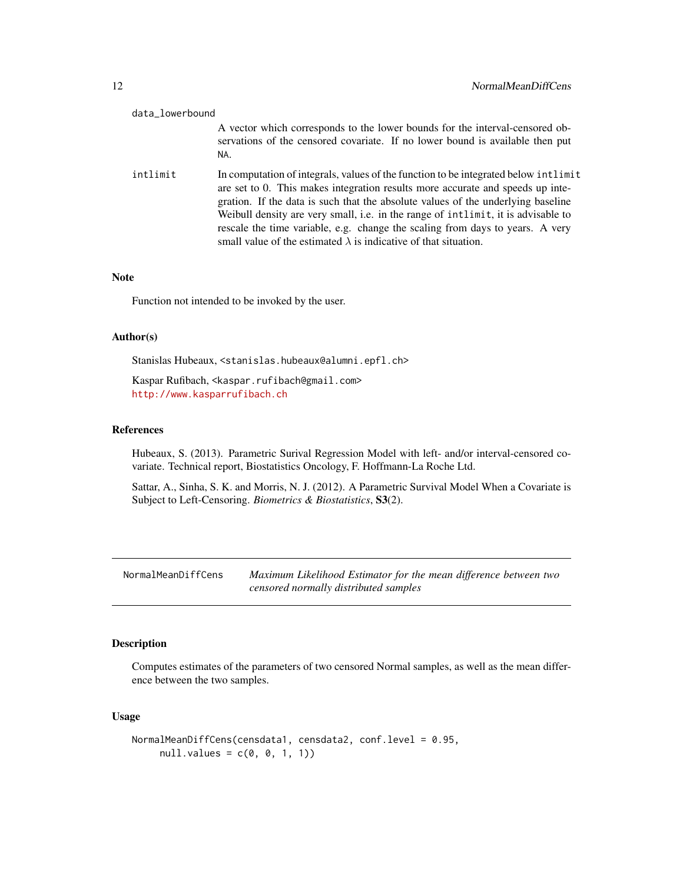<span id="page-11-0"></span>

| data_lowerbound |                                                                                                                                                                                                                                                                                                                                                                                                                                                                                                            |
|-----------------|------------------------------------------------------------------------------------------------------------------------------------------------------------------------------------------------------------------------------------------------------------------------------------------------------------------------------------------------------------------------------------------------------------------------------------------------------------------------------------------------------------|
|                 | A vector which corresponds to the lower bounds for the interval-censored ob-<br>servations of the censored covariate. If no lower bound is available then put<br>NA.                                                                                                                                                                                                                                                                                                                                       |
| intlimit        | In computation of integrals, values of the function to be integrated below intlimit<br>are set to 0. This makes integration results more accurate and speeds up inte-<br>gration. If the data is such that the absolute values of the underlying baseline<br>Weibull density are very small, i.e. in the range of intlimit, it is advisable to<br>rescale the time variable, e.g. change the scaling from days to years. A very<br>small value of the estimated $\lambda$ is indicative of that situation. |

### Note

Function not intended to be invoked by the user.

# Author(s)

Stanislas Hubeaux, <stanislas.hubeaux@alumni.epfl.ch>

Kaspar Rufibach, <kaspar.rufibach@gmail.com> <http://www.kasparrufibach.ch>

# References

Hubeaux, S. (2013). Parametric Surival Regression Model with left- and/or interval-censored covariate. Technical report, Biostatistics Oncology, F. Hoffmann-La Roche Ltd.

Sattar, A., Sinha, S. K. and Morris, N. J. (2012). A Parametric Survival Model When a Covariate is Subject to Left-Censoring. *Biometrics & Biostatistics*, S3(2).

<span id="page-11-1"></span>NormalMeanDiffCens *Maximum Likelihood Estimator for the mean difference between two censored normally distributed samples*

# Description

Computes estimates of the parameters of two censored Normal samples, as well as the mean difference between the two samples.

# Usage

```
NormalMeanDiffCens(censdata1, censdata2, conf.level = 0.95,
    null.values = c(0, 0, 1, 1))
```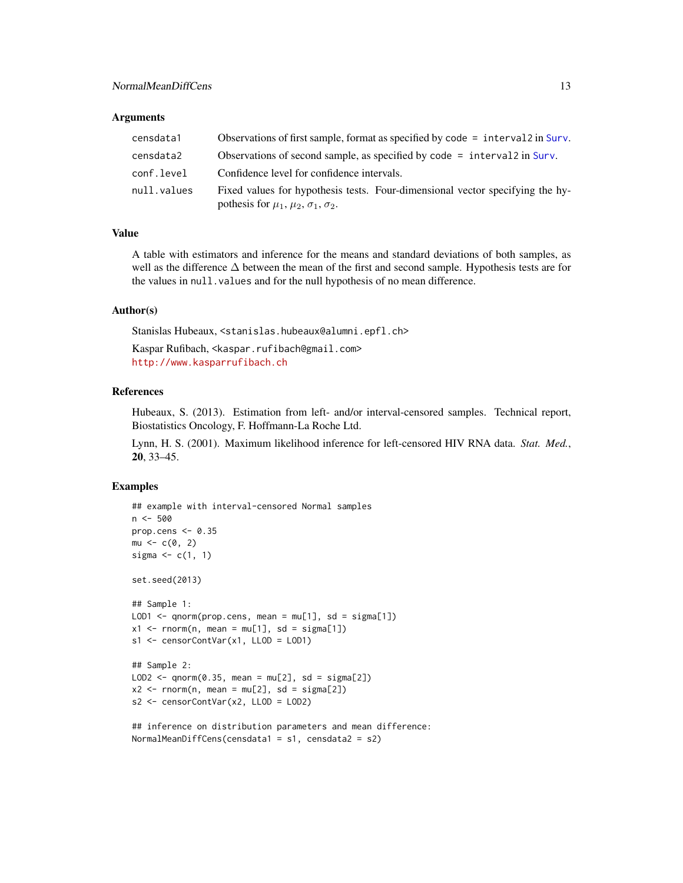#### <span id="page-12-0"></span>Arguments

| censdata1   | Observations of first sample, format as specified by code = interval 2 in Surv.                                                             |
|-------------|---------------------------------------------------------------------------------------------------------------------------------------------|
| censdata2   | Observations of second sample, as specified by code = interval 2 in Surv.                                                                   |
| conf.level  | Confidence level for confidence intervals.                                                                                                  |
| null.values | Fixed values for hypothesis tests. Four-dimensional vector specifying the hy-<br>pothesis for $\mu_1$ , $\mu_2$ , $\sigma_1$ , $\sigma_2$ . |

# Value

A table with estimators and inference for the means and standard deviations of both samples, as well as the difference ∆ between the mean of the first and second sample. Hypothesis tests are for the values in null.values and for the null hypothesis of no mean difference.

#### Author(s)

Stanislas Hubeaux, <stanislas.hubeaux@alumni.epfl.ch>

Kaspar Rufibach, <kaspar.rufibach@gmail.com> <http://www.kasparrufibach.ch>

# References

Hubeaux, S. (2013). Estimation from left- and/or interval-censored samples. Technical report, Biostatistics Oncology, F. Hoffmann-La Roche Ltd.

Lynn, H. S. (2001). Maximum likelihood inference for left-censored HIV RNA data. *Stat. Med.*, 20, 33–45.

#### Examples

```
## example with interval-censored Normal samples
n < -500prop.cens <-0.35mu < -c(0, 2)sigma \leq c(1, 1)set.seed(2013)
## Sample 1:
LOD1 \leq qnorm(prop.cens, mean = mu[1], sd = sigma[1])
x1 \le - rnorm(n, mean = mu[1], sd = sigma[1])
s1 <- censorContVar(x1, LLOD = LOD1)
## Sample 2:
LOD2 \leq qnorm(0.35, mean = mu[2], sd = sigma[2])
x2 \le rnorm(n, mean = mu[2], sd = sigma[2])
s2 <- censorContVar(x2, LLOD = LOD2)
## inference on distribution parameters and mean difference:
```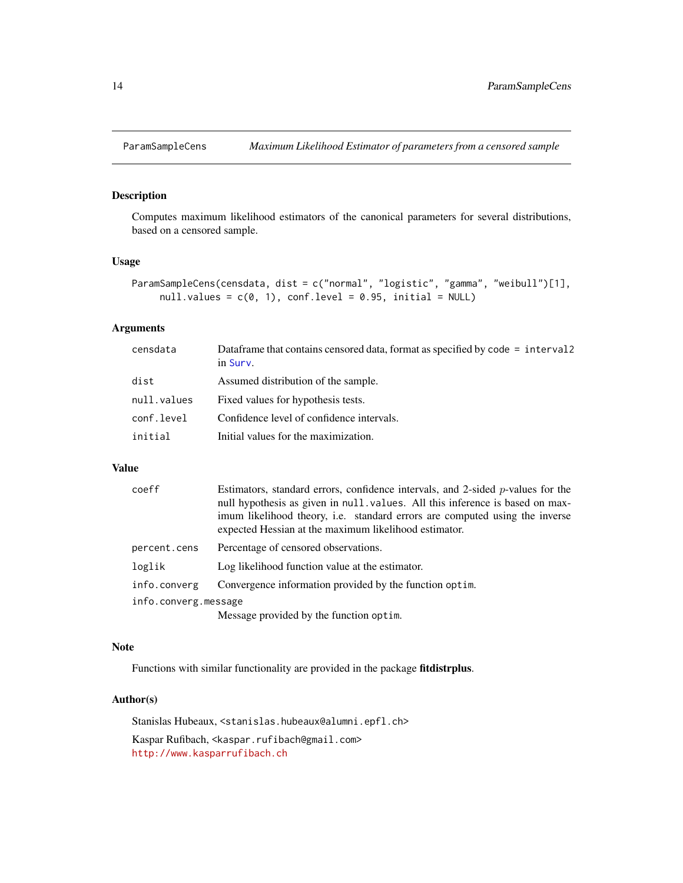<span id="page-13-1"></span><span id="page-13-0"></span>

Computes maximum likelihood estimators of the canonical parameters for several distributions, based on a censored sample.

#### Usage

```
ParamSampleCens(censdata, dist = c("normal", "logistic", "gamma", "weibull")[1],
     null.values = c(0, 1), conf.level = 0.95, initial = NULL)
```
# Arguments

| censdata    | Dataframe that contains censored data, format as specified by code = interval?<br>in Surv. |
|-------------|--------------------------------------------------------------------------------------------|
| dist        | Assumed distribution of the sample.                                                        |
| null.values | Fixed values for hypothesis tests.                                                         |
| conf.level  | Confidence level of confidence intervals.                                                  |
| initial     | Initial values for the maximization.                                                       |

# Value

| coeff                | Estimators, standard errors, confidence intervals, and 2-sided $p$ -values for the<br>null hypothesis as given in null values. All this inference is based on max-<br>imum likelihood theory, i.e. standard errors are computed using the inverse<br>expected Hessian at the maximum likelihood estimator. |
|----------------------|------------------------------------------------------------------------------------------------------------------------------------------------------------------------------------------------------------------------------------------------------------------------------------------------------------|
| percent.cens         | Percentage of censored observations.                                                                                                                                                                                                                                                                       |
| loglik               | Log likelihood function value at the estimator.                                                                                                                                                                                                                                                            |
| info.converg         | Convergence information provided by the function optim.                                                                                                                                                                                                                                                    |
| info.converg.message |                                                                                                                                                                                                                                                                                                            |
|                      |                                                                                                                                                                                                                                                                                                            |

Message provided by the function optim.

# Note

Functions with similar functionality are provided in the package fitdistrplus.

#### Author(s)

Stanislas Hubeaux, <stanislas.hubeaux@alumni.epfl.ch> Kaspar Rufibach, <kaspar.rufibach@gmail.com>

<http://www.kasparrufibach.ch>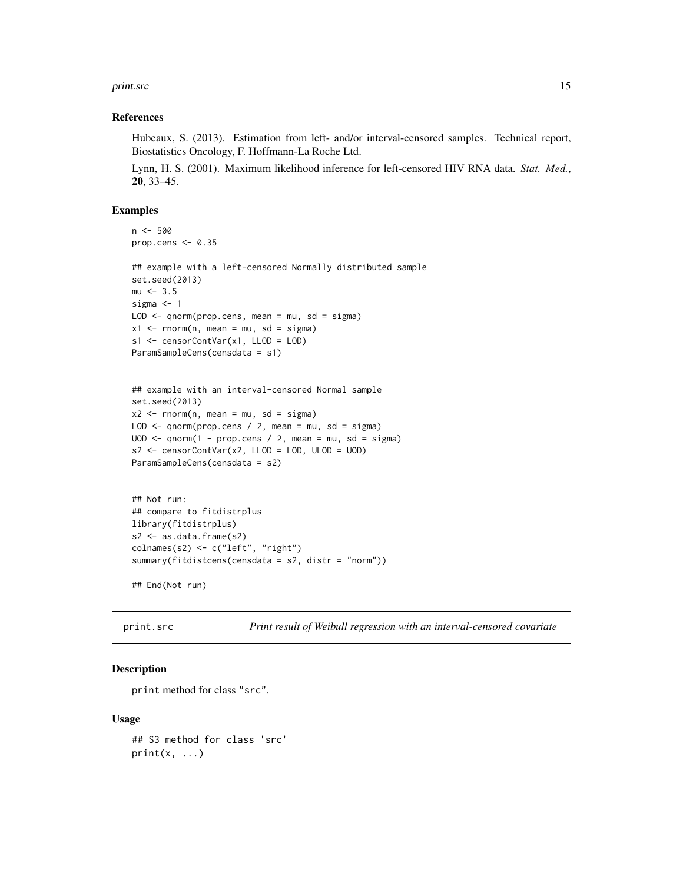#### <span id="page-14-0"></span>print.src 15

#### References

Hubeaux, S. (2013). Estimation from left- and/or interval-censored samples. Technical report, Biostatistics Oncology, F. Hoffmann-La Roche Ltd.

Lynn, H. S. (2001). Maximum likelihood inference for left-censored HIV RNA data. *Stat. Med.*, 20, 33–45.

# Examples

```
n < -500prop.cens <- 0.35
```

```
## example with a left-censored Normally distributed sample
set.seed(2013)
mu < -3.5sigma <-1LOD \leq - qnorm(prop.cens, mean = mu, sd = sigma)
x1 \leq -rnorm(n, mean = mu, sd = sigma)s1 <- censorContVar(x1, LLOD = LOD)
ParamSampleCens(censdata = s1)
```

```
## example with an interval-censored Normal sample
set.seed(2013)
x2 \leq -rnorm(n, mean = mu, sd = sigma)LOD \leq qnorm(prop.cens / 2, mean = mu, sd = sigma)
UOD \leq qnorm(1 - prop.cens / 2, mean = mu, sd = sigma)
s2 \le censorContVar(x2, LLOD = LOD, ULOD = UOD)
ParamSampleCens(censdata = s2)
```

```
## Not run:
## compare to fitdistrplus
library(fitdistrplus)
s2 <- as.data.frame(s2)
colnames(s2) <- c("left", "right")
summary(fitdistcens(censdata = s2, distr = "norm"))
```
## End(Not run)

<span id="page-14-1"></span>print.src *Print result of Weibull regression with an interval-censored covariate*

#### Description

print method for class "src".

#### Usage

```
## S3 method for class 'src'
print(x, \ldots)
```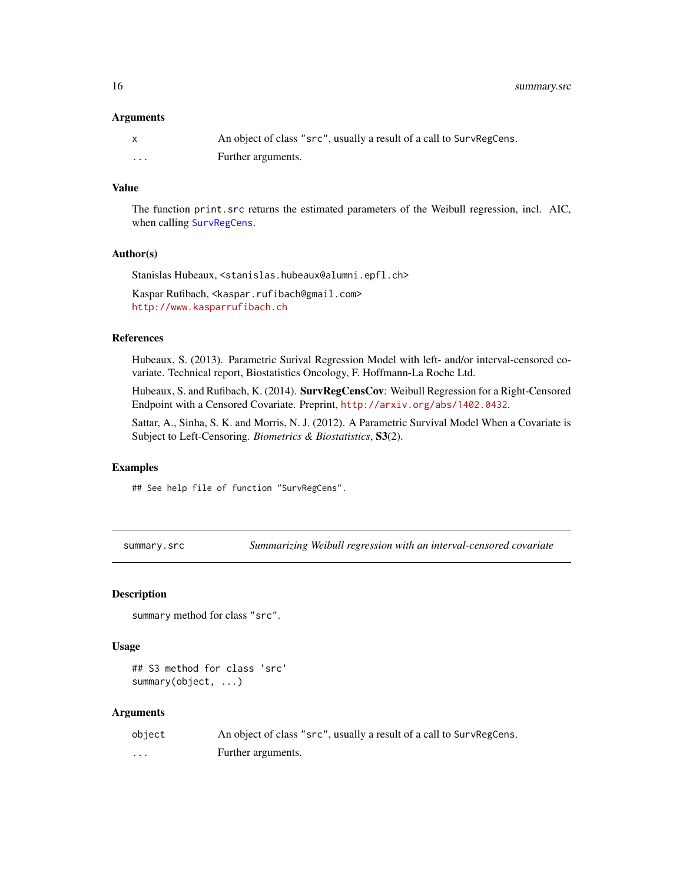<span id="page-15-0"></span>16 summary.src

#### Arguments

|   | An object of class "src", usually a result of a call to SurvRegCens. |
|---|----------------------------------------------------------------------|
| . | Further arguments.                                                   |

### Value

The function print.src returns the estimated parameters of the Weibull regression, incl. AIC, when calling [SurvRegCens](#page-16-1).

#### Author(s)

Stanislas Hubeaux, <stanislas.hubeaux@alumni.epfl.ch>

Kaspar Rufibach, <kaspar.rufibach@gmail.com> <http://www.kasparrufibach.ch>

#### References

Hubeaux, S. (2013). Parametric Surival Regression Model with left- and/or interval-censored covariate. Technical report, Biostatistics Oncology, F. Hoffmann-La Roche Ltd.

Hubeaux, S. and Rufibach, K. (2014). **SurvRegCensCov**: Weibull Regression for a Right-Censored Endpoint with a Censored Covariate. Preprint, <http://arxiv.org/abs/1402.0432>.

Sattar, A., Sinha, S. K. and Morris, N. J. (2012). A Parametric Survival Model When a Covariate is Subject to Left-Censoring. *Biometrics & Biostatistics*, S3(2).

### Examples

## See help file of function "SurvRegCens".

<span id="page-15-1"></span>summary.src *Summarizing Weibull regression with an interval-censored covariate*

# **Description**

```
summary method for class "src".
```
#### Usage

```
## S3 method for class 'src'
summary(object, ...)
```
#### Arguments

| object | An object of class "src", usually a result of a call to SurvRegCens. |
|--------|----------------------------------------------------------------------|
| .      | Further arguments.                                                   |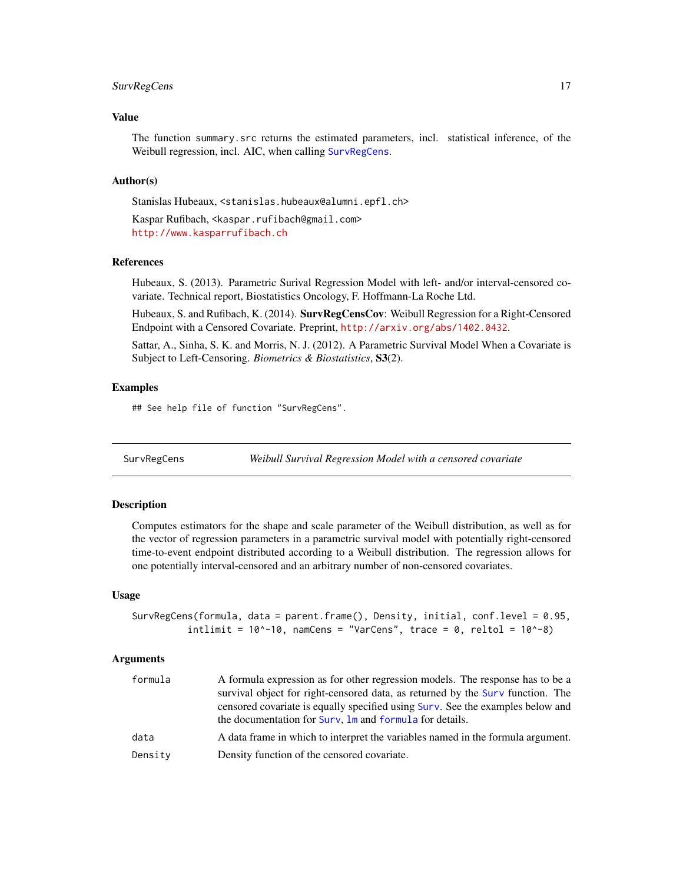# <span id="page-16-0"></span>SurvRegCens 17

# Value

The function summary.src returns the estimated parameters, incl. statistical inference, of the Weibull regression, incl. AIC, when calling [SurvRegCens](#page-16-1).

#### Author(s)

Stanislas Hubeaux, <stanislas.hubeaux@alumni.epfl.ch>

Kaspar Rufibach, <kaspar.rufibach@gmail.com> <http://www.kasparrufibach.ch>

# References

Hubeaux, S. (2013). Parametric Surival Regression Model with left- and/or interval-censored covariate. Technical report, Biostatistics Oncology, F. Hoffmann-La Roche Ltd.

Hubeaux, S. and Rufibach, K. (2014). **SurvRegCensCov**: Weibull Regression for a Right-Censored Endpoint with a Censored Covariate. Preprint, <http://arxiv.org/abs/1402.0432>.

Sattar, A., Sinha, S. K. and Morris, N. J. (2012). A Parametric Survival Model When a Covariate is Subject to Left-Censoring. *Biometrics & Biostatistics*, S3(2).

## Examples

## See help file of function "SurvRegCens".

<span id="page-16-1"></span>SurvRegCens *Weibull Survival Regression Model with a censored covariate*

#### Description

Computes estimators for the shape and scale parameter of the Weibull distribution, as well as for the vector of regression parameters in a parametric survival model with potentially right-censored time-to-event endpoint distributed according to a Weibull distribution. The regression allows for one potentially interval-censored and an arbitrary number of non-censored covariates.

#### Usage

```
SurvRegCens(formula, data = parent.frame(), Density, initial, conf.level = 0.95,
           intlimit = 10^{\circ}-10, namCens = "VarCens", trace = 0, reltol = 10^{\circ}-8)
```
#### **Arguments**

| formula | A formula expression as for other regression models. The response has to be a<br>survival object for right-censored data, as returned by the Surv function. The<br>censored covariate is equally specified using Surv. See the examples below and<br>the documentation for Surv, Im and formula for details. |
|---------|--------------------------------------------------------------------------------------------------------------------------------------------------------------------------------------------------------------------------------------------------------------------------------------------------------------|
| data    | A data frame in which to interpret the variables named in the formula argument.                                                                                                                                                                                                                              |
| Densitv | Density function of the censored covariate.                                                                                                                                                                                                                                                                  |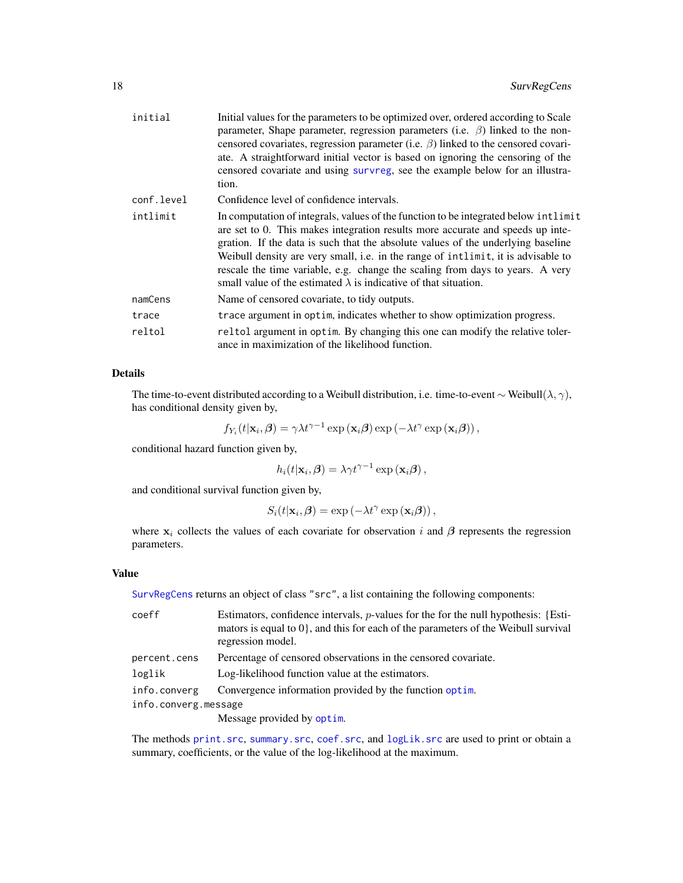<span id="page-17-0"></span>

| initial    | Initial values for the parameters to be optimized over, ordered according to Scale<br>parameter, Shape parameter, regression parameters (i.e. $\beta$ ) linked to the non-<br>censored covariates, regression parameter (i.e. $\beta$ ) linked to the censored covari-<br>ate. A straightforward initial vector is based on ignoring the censoring of the<br>censored covariate and using survreg, see the example below for an illustra-<br>tion.                                                         |
|------------|------------------------------------------------------------------------------------------------------------------------------------------------------------------------------------------------------------------------------------------------------------------------------------------------------------------------------------------------------------------------------------------------------------------------------------------------------------------------------------------------------------|
| conf.level | Confidence level of confidence intervals.                                                                                                                                                                                                                                                                                                                                                                                                                                                                  |
| intlimit   | In computation of integrals, values of the function to be integrated below intlimit<br>are set to 0. This makes integration results more accurate and speeds up inte-<br>gration. If the data is such that the absolute values of the underlying baseline<br>Weibull density are very small, i.e. in the range of intlimit, it is advisable to<br>rescale the time variable, e.g. change the scaling from days to years. A very<br>small value of the estimated $\lambda$ is indicative of that situation. |
| namCens    | Name of censored covariate, to tidy outputs.                                                                                                                                                                                                                                                                                                                                                                                                                                                               |
| trace      | trace argument in optim, indicates whether to show optimization progress.                                                                                                                                                                                                                                                                                                                                                                                                                                  |
| reltol     | reltol argument in optim. By changing this one can modify the relative toler-<br>ance in maximization of the likelihood function.                                                                                                                                                                                                                                                                                                                                                                          |

# Details

The time-to-event distributed according to a Weibull distribution, i.e. time-to-event ∼ Weibull( $\lambda$ ,  $\gamma$ ), has conditional density given by,

$$
f_{Y_i}(t|\mathbf{x}_i,\boldsymbol{\beta}) = \gamma \lambda t^{\gamma-1} \exp\left(\mathbf{x}_i \boldsymbol{\beta}\right) \exp\left(-\lambda t^{\gamma} \exp\left(\mathbf{x}_i \boldsymbol{\beta}\right)\right),\,
$$

conditional hazard function given by,

$$
h_i(t|\mathbf{x}_i, \boldsymbol{\beta}) = \lambda \gamma t^{\gamma - 1} \exp(\mathbf{x}_i \boldsymbol{\beta}),
$$

and conditional survival function given by,

$$
S_i(t|\mathbf{x}_i,\boldsymbol{\beta}) = \exp\left(-\lambda t^{\gamma} \exp(\mathbf{x}_i \boldsymbol{\beta})\right),\,
$$

where  $x_i$  collects the values of each covariate for observation i and  $\beta$  represents the regression parameters.

# Value

[SurvRegCens](#page-16-1) returns an object of class "src", a list containing the following components:

| coeff                | Estimators, confidence intervals, $p$ -values for the for the null hypothesis: {Esti-<br>mators is equal to $0$ , and this for each of the parameters of the Weibull survival<br>regression model. |
|----------------------|----------------------------------------------------------------------------------------------------------------------------------------------------------------------------------------------------|
| percent.cens         | Percentage of censored observations in the censored covariate.                                                                                                                                     |
| loglik               | Log-likelihood function value at the estimators.                                                                                                                                                   |
| info.converg         | Convergence information provided by the function optim.                                                                                                                                            |
| info.converg.message |                                                                                                                                                                                                    |
|                      | Message provided by optim.                                                                                                                                                                         |

The methods [print.src](#page-14-1), [summary.src](#page-15-1), [coef.src](#page-4-1), and [logLik.src](#page-7-1) are used to print or obtain a summary, coefficients, or the value of the log-likelihood at the maximum.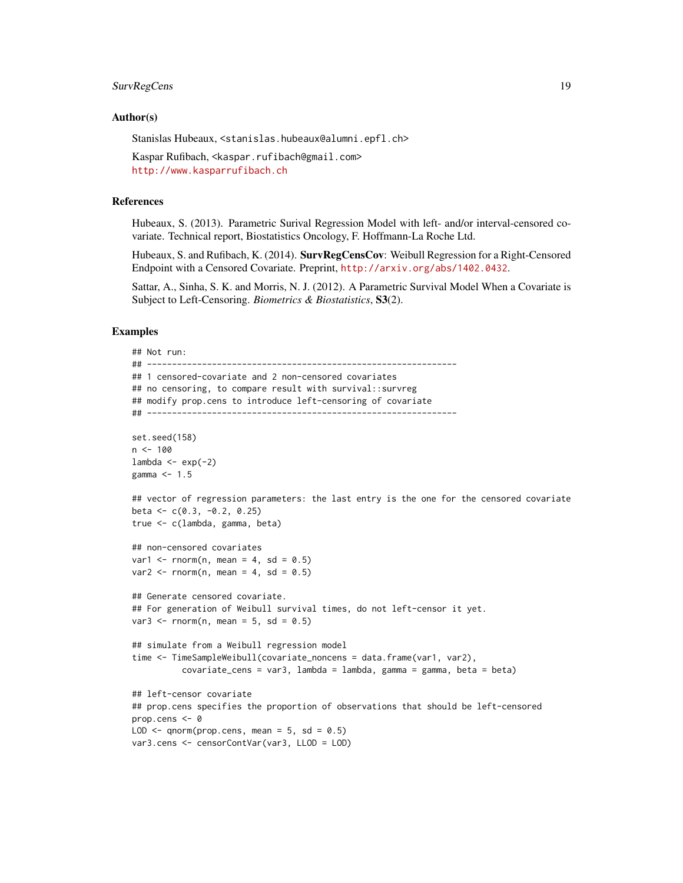# SurvRegCens 19

#### Author(s)

Stanislas Hubeaux, <stanislas.hubeaux@alumni.epfl.ch>

Kaspar Rufibach, <kaspar.rufibach@gmail.com> <http://www.kasparrufibach.ch>

#### References

Hubeaux, S. (2013). Parametric Surival Regression Model with left- and/or interval-censored covariate. Technical report, Biostatistics Oncology, F. Hoffmann-La Roche Ltd.

Hubeaux, S. and Rufibach, K. (2014). SurvRegCensCov: Weibull Regression for a Right-Censored Endpoint with a Censored Covariate. Preprint, <http://arxiv.org/abs/1402.0432>.

Sattar, A., Sinha, S. K. and Morris, N. J. (2012). A Parametric Survival Model When a Covariate is Subject to Left-Censoring. *Biometrics & Biostatistics*, S3(2).

#### Examples

```
## Not run:
## --------------------------------------------------------------
## 1 censored-covariate and 2 non-censored covariates
## no censoring, to compare result with survival::survreg
## modify prop.cens to introduce left-censoring of covariate
## --------------------------------------------------------------
set.seed(158)
n < -100lambda < - exp(-2)gamma <- 1.5
## vector of regression parameters: the last entry is the one for the censored covariate
beta \leq c(0.3, -0.2, 0.25)true <- c(lambda, gamma, beta)
## non-censored covariates
var1 \le- rnorm(n, mean = 4, sd = 0.5)
var2 \le rnorm(n, mean = 4, sd = 0.5)
## Generate censored covariate.
## For generation of Weibull survival times, do not left-censor it yet.
var3 \le rnorm(n, mean = 5, sd = 0.5)
## simulate from a Weibull regression model
time <- TimeSampleWeibull(covariate_noncens = data.frame(var1, var2),
          covariate_cens = var3, lambda = lambda, gamma = gamma, beta = beta)
## left-censor covariate
## prop.cens specifies the proportion of observations that should be left-censored
prop.cens <- 0
LOD \leq qnorm(prop.cens, mean = 5, sd = 0.5)
var3.cens <- censorContVar(var3, LLOD = LOD)
```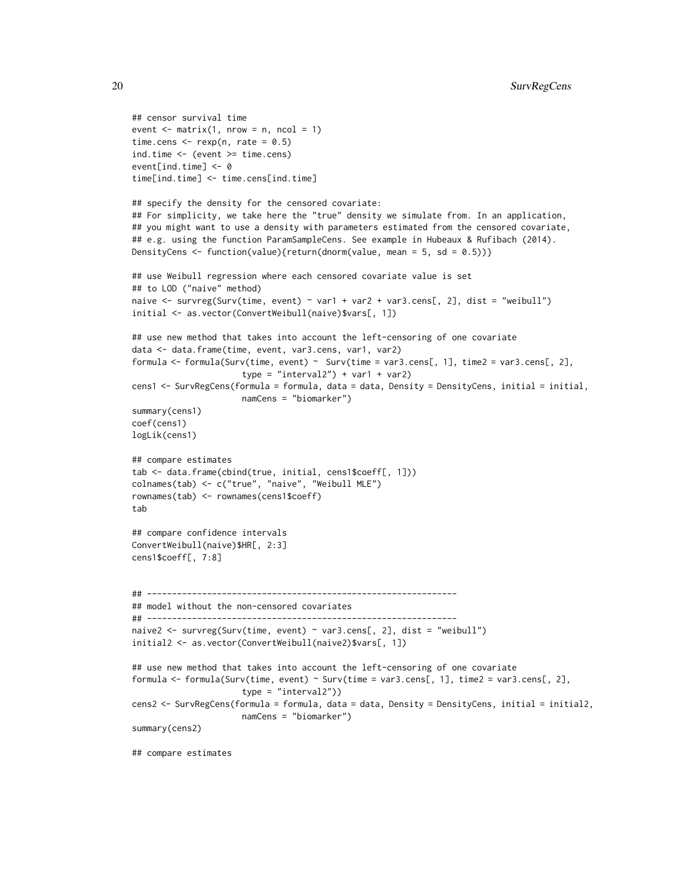```
## censor survival time
event \leq matrix(1, nrow = n, ncol = 1)
time.cens \leq rexp(n, rate = 0.5)
ind.time <- (event >= time.cens)
event[ind.time] <- 0
time[ind.time] <- time.cens[ind.time]
## specify the density for the censored covariate:
## For simplicity, we take here the "true" density we simulate from. In an application,
## you might want to use a density with parameters estimated from the censored covariate,
## e.g. using the function ParamSampleCens. See example in Hubeaux & Rufibach (2014).
DensityCens <- function(value){return(dnorm(value, mean = 5, sd = 0.5))}
## use Weibull regression where each censored covariate value is set
## to LOD ("naive" method)
naive <- survreg(Surv(time, event) ~ var1 + var2 + var3.cens[, 2], dist = "weibull")
initial <- as.vector(ConvertWeibull(naive)$vars[, 1])
## use new method that takes into account the left-censoring of one covariate
data <- data.frame(time, event, var3.cens, var1, var2)
formula <- formula(Surv(time, event) ~ Surv(time = var3.cens[, 1], time2 = var3.cens[, 2],
                      type = "interval2") + var1 + var2)cens1 <- SurvRegCens(formula = formula, data = data, Density = DensityCens, initial = initial,
                     namCens = "biomarker")
summary(cens1)
coef(cens1)
logLik(cens1)
## compare estimates
tab <- data.frame(cbind(true, initial, cens1$coeff[, 1]))
colnames(tab) <- c("true", "naive", "Weibull MLE")
rownames(tab) <- rownames(cens1$coeff)
tab
## compare confidence intervals
ConvertWeibull(naive)$HR[, 2:3]
cens1$coeff[, 7:8]
## --------------------------------------------------------------
## model without the non-censored covariates
## --------------------------------------------------------------
naive2 <- survreg(Surv(time, event) ~ var3.cens[, 2], dist = "weibull")
initial2 <- as.vector(ConvertWeibull(naive2)$vars[, 1])
## use new method that takes into account the left-censoring of one covariate
formula <- formula(Surv(time, event) ~ Surv(time = var3.cens[, 1], time2 = var3.cens[, 2],
                      type = "interval2")cens2 <- SurvRegCens(formula = formula, data = data, Density = DensityCens, initial = initial2,
                     namCens = "biomarker")
summary(cens2)
```
## compare estimates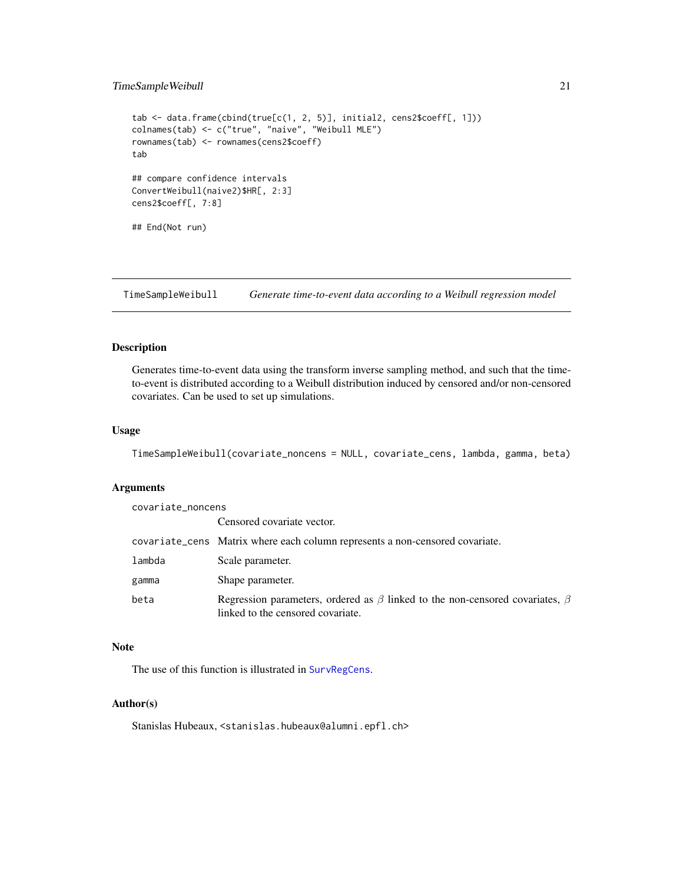# <span id="page-20-0"></span>TimeSampleWeibull 21

```
tab <- data.frame(cbind(true[c(1, 2, 5)], initial2, cens2$coeff[, 1]))
colnames(tab) <- c("true", "naive", "Weibull MLE")
rownames(tab) <- rownames(cens2$coeff)
tab
## compare confidence intervals
ConvertWeibull(naive2)$HR[, 2:3]
cens2$coeff[, 7:8]
## End(Not run)
```
TimeSampleWeibull *Generate time-to-event data according to a Weibull regression model*

#### Description

Generates time-to-event data using the transform inverse sampling method, and such that the timeto-event is distributed according to a Weibull distribution induced by censored and/or non-censored covariates. Can be used to set up simulations.

# Usage

```
TimeSampleWeibull(covariate_noncens = NULL, covariate_cens, lambda, gamma, beta)
```
#### **Arguments**

| covariate_noncens |                                                                                                                               |
|-------------------|-------------------------------------------------------------------------------------------------------------------------------|
|                   | Censored covariate vector.                                                                                                    |
|                   | covariate_cens Matrix where each column represents a non-censored covariate.                                                  |
| lambda            | Scale parameter.                                                                                                              |
| gamma             | Shape parameter.                                                                                                              |
| beta              | Regression parameters, ordered as $\beta$ linked to the non-censored covariates, $\beta$<br>linked to the censored covariate. |

# Note

The use of this function is illustrated in [SurvRegCens](#page-16-1).

#### Author(s)

Stanislas Hubeaux, <stanislas.hubeaux@alumni.epfl.ch>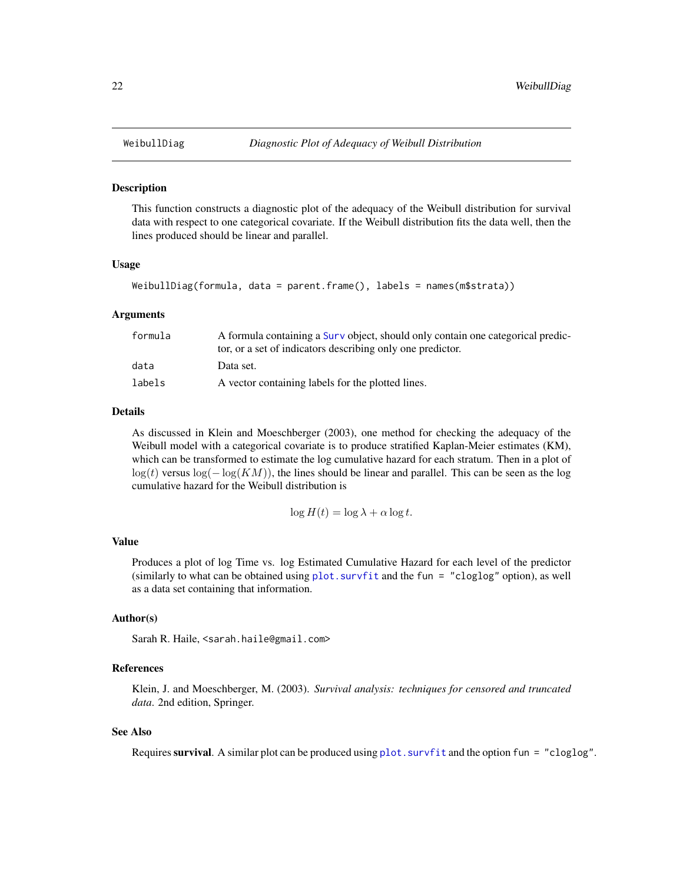<span id="page-21-1"></span><span id="page-21-0"></span>

This function constructs a diagnostic plot of the adequacy of the Weibull distribution for survival data with respect to one categorical covariate. If the Weibull distribution fits the data well, then the lines produced should be linear and parallel.

#### Usage

```
WeibullDiag(formula, data = parent.frame(), labels = names(m$strata))
```
#### Arguments

| formula | A formula containing a Surv object, should only contain one categorical predic- |
|---------|---------------------------------------------------------------------------------|
|         | tor, or a set of indicators describing only one predictor.                      |
| data    | Data set.                                                                       |
| labels  | A vector containing labels for the plotted lines.                               |

#### Details

As discussed in Klein and Moeschberger (2003), one method for checking the adequacy of the Weibull model with a categorical covariate is to produce stratified Kaplan-Meier estimates (KM), which can be transformed to estimate the log cumulative hazard for each stratum. Then in a plot of  $log(t)$  versus  $log(-log(KM))$ , the lines should be linear and parallel. This can be seen as the log cumulative hazard for the Weibull distribution is

$$
\log H(t) = \log \lambda + \alpha \log t.
$$

#### Value

Produces a plot of log Time vs. log Estimated Cumulative Hazard for each level of the predictor (similarly to what can be obtained using [plot.survfit](#page-0-0) and the fun = "cloglog" option), as well as a data set containing that information.

# Author(s)

Sarah R. Haile, <sarah.haile@gmail.com>

# References

Klein, J. and Moeschberger, M. (2003). *Survival analysis: techniques for censored and truncated data*. 2nd edition, Springer.

### See Also

Requires survival. A similar plot can be produced using  $plot$ . survfit and the option fun = "cloglog".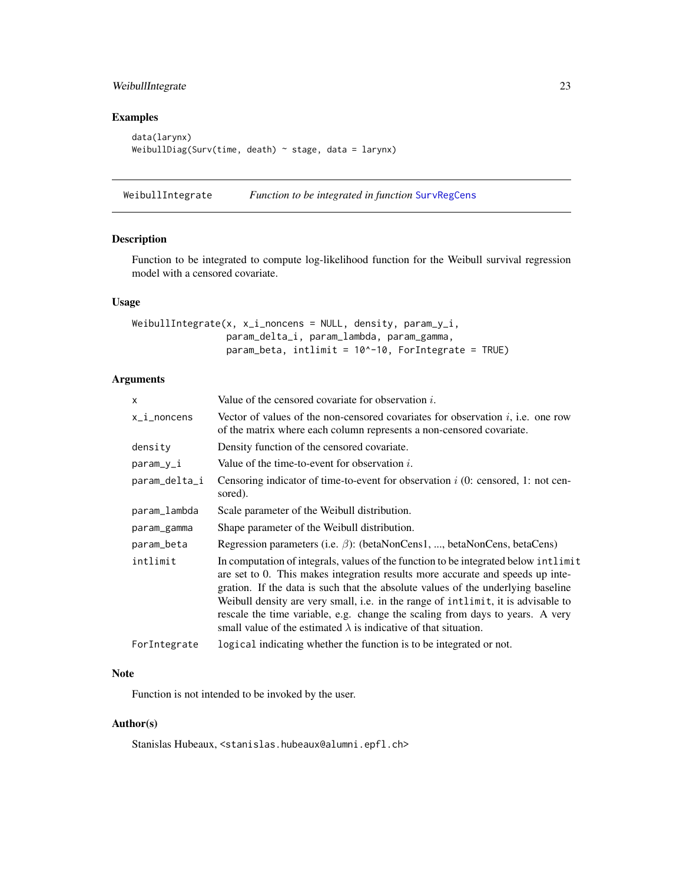# <span id="page-22-0"></span>WeibullIntegrate 23

# Examples

```
data(larynx)
WeibullDiag(Surv(time, death) \sim stage, data = larynx)
```
WeibullIntegrate *Function to be integrated in function* [SurvRegCens](#page-16-1)

# Description

Function to be integrated to compute log-likelihood function for the Weibull survival regression model with a censored covariate.

#### Usage

```
WeibullIntegrate(x, x_i_noncens = NULL, density, param_y_i,
                 param_delta_i, param_lambda, param_gamma,
                 param_beta, intlimit = 10^{\circ}-10, ForIntegrate = TRUE)
```
# Arguments

| x             | Value of the censored covariate for observation $i$ .                                                                                                                                                                                                                                                                                                                                                                                                                                                      |
|---------------|------------------------------------------------------------------------------------------------------------------------------------------------------------------------------------------------------------------------------------------------------------------------------------------------------------------------------------------------------------------------------------------------------------------------------------------------------------------------------------------------------------|
| x_i_noncens   | Vector of values of the non-censored covariates for observation $i$ , i.e. one row<br>of the matrix where each column represents a non-censored covariate.                                                                                                                                                                                                                                                                                                                                                 |
| density       | Density function of the censored covariate.                                                                                                                                                                                                                                                                                                                                                                                                                                                                |
| param_y_i     | Value of the time-to-event for observation $i$ .                                                                                                                                                                                                                                                                                                                                                                                                                                                           |
| param_delta_i | Censoring indicator of time-to-event for observation $i$ (0: censored, 1: not cen-<br>sored).                                                                                                                                                                                                                                                                                                                                                                                                              |
| param_lambda  | Scale parameter of the Weibull distribution.                                                                                                                                                                                                                                                                                                                                                                                                                                                               |
| param_gamma   | Shape parameter of the Weibull distribution.                                                                                                                                                                                                                                                                                                                                                                                                                                                               |
| param_beta    | Regression parameters (i.e. $\beta$ ): (betaNonCens1, , betaNonCens, betaCens)                                                                                                                                                                                                                                                                                                                                                                                                                             |
| intlimit      | In computation of integrals, values of the function to be integrated below intlimit<br>are set to 0. This makes integration results more accurate and speeds up inte-<br>gration. If the data is such that the absolute values of the underlying baseline<br>Weibull density are very small, i.e. in the range of intlimit, it is advisable to<br>rescale the time variable, e.g. change the scaling from days to years. A very<br>small value of the estimated $\lambda$ is indicative of that situation. |
| ForIntegrate  | logical indicating whether the function is to be integrated or not.                                                                                                                                                                                                                                                                                                                                                                                                                                        |

# Note

Function is not intended to be invoked by the user.

# Author(s)

Stanislas Hubeaux, <stanislas.hubeaux@alumni.epfl.ch>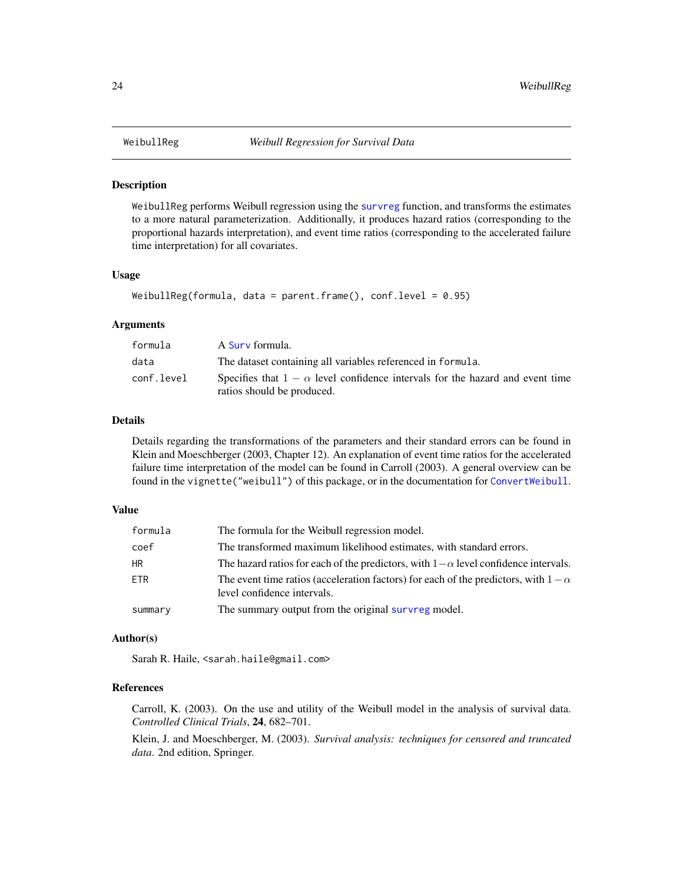<span id="page-23-1"></span><span id="page-23-0"></span>WeibullReg performs Weibull regression using the [survreg](#page-0-0) function, and transforms the estimates to a more natural parameterization. Additionally, it produces hazard ratios (corresponding to the proportional hazards interpretation), and event time ratios (corresponding to the accelerated failure time interpretation) for all covariates.

# Usage

```
WeibullReg(formula, data = parent.frame(), conf.level = 0.95)
```
#### Arguments

| formula    | A Surv formula.                                                                                                    |
|------------|--------------------------------------------------------------------------------------------------------------------|
| data       | The dataset containing all variables referenced in formula.                                                        |
| conf.level | Specifies that $1 - \alpha$ level confidence intervals for the hazard and event time<br>ratios should be produced. |

#### Details

Details regarding the transformations of the parameters and their standard errors can be found in Klein and Moeschberger (2003, Chapter 12). An explanation of event time ratios for the accelerated failure time interpretation of the model can be found in Carroll (2003). A general overview can be found in the vignette("weibull") of this package, or in the documentation for [ConvertWeibull](#page-5-1).

# Value

| formula | The formula for the Weibull regression model.                                                                           |
|---------|-------------------------------------------------------------------------------------------------------------------------|
| coef    | The transformed maximum likelihood estimates, with standard errors.                                                     |
| HR      | The hazard ratios for each of the predictors, with $1-\alpha$ level confidence intervals.                               |
| ETR.    | The event time ratios (acceleration factors) for each of the predictors, with $1-\alpha$<br>level confidence intervals. |
| summary | The summary output from the original survreg model.                                                                     |

#### Author(s)

Sarah R. Haile, <sarah.haile@gmail.com>

# References

Carroll, K. (2003). On the use and utility of the Weibull model in the analysis of survival data. *Controlled Clinical Trials*, 24, 682–701.

Klein, J. and Moeschberger, M. (2003). *Survival analysis: techniques for censored and truncated data*. 2nd edition, Springer.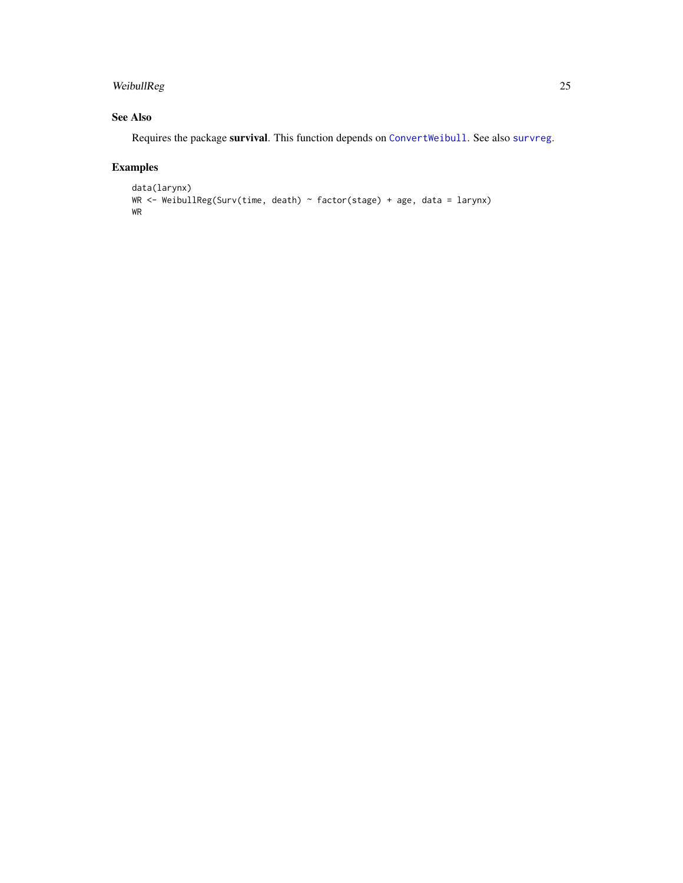# <span id="page-24-0"></span>WeibullReg 25

# See Also

Requires the package survival. This function depends on [ConvertWeibull](#page-5-1). See also [survreg](#page-0-0).

# Examples

```
data(larynx)
WR <- WeibullReg(Surv(time, death) ~ factor(stage) + age, data = larynx)
WR
```